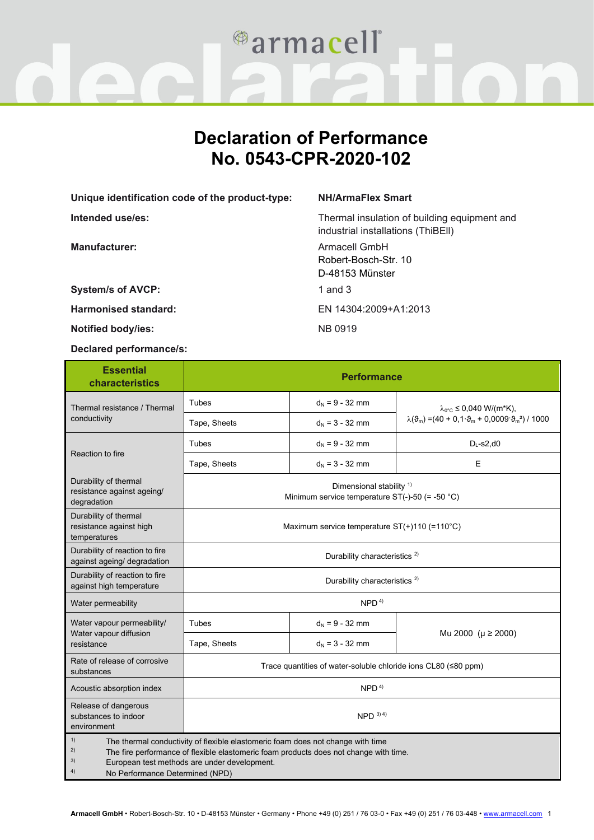

## **Declaration of Performance No. 0543-CPR-2020-102**

**Unique identification code of the product-type: NH/ArmaFlex Smart**

**Manufacturer:** Armacell GmbH

**System/s of AVCP:** 1 and 3

**Harmonised standard:** EN 14304:2009+A1:2013

**Notified body/ies:** NB 0919

**Declared performance/s:**

**Intended use/es:** Thermal insulation of building equipment and industrial installations (ThiBEll)

> Robert-Bosch-Str. 10 D-48153 Münster

| <b>Essential</b><br>characteristics                                                                                                                                                                                                                                                 | <b>Performance</b>                                                                       |                   |                                                                                                                                |
|-------------------------------------------------------------------------------------------------------------------------------------------------------------------------------------------------------------------------------------------------------------------------------------|------------------------------------------------------------------------------------------|-------------------|--------------------------------------------------------------------------------------------------------------------------------|
| Thermal resistance / Thermal<br>conductivity                                                                                                                                                                                                                                        | Tubes                                                                                    | $d_N = 9 - 32$ mm | $\lambda_{0}$ °C ≤ 0,040 W/(m*K),<br>$\lambda(\vartheta_m) = (40 + 0.1 \cdot \vartheta_m + 0.0009 \cdot \vartheta_m^2) / 1000$ |
|                                                                                                                                                                                                                                                                                     | Tape, Sheets                                                                             | $d_N = 3 - 32$ mm |                                                                                                                                |
| Reaction to fire                                                                                                                                                                                                                                                                    | Tubes                                                                                    | $d_N = 9 - 32$ mm | $D_{L}$ -s2,d0                                                                                                                 |
|                                                                                                                                                                                                                                                                                     | Tape, Sheets                                                                             | $d_N = 3 - 32$ mm | Е                                                                                                                              |
| Durability of thermal<br>resistance against ageing/<br>degradation                                                                                                                                                                                                                  | Dimensional stability <sup>1)</sup><br>Minimum service temperature $ST(-)-50 (= -50 °C)$ |                   |                                                                                                                                |
| Durability of thermal<br>resistance against high<br>temperatures                                                                                                                                                                                                                    | Maximum service temperature ST(+)110 (=110°C)                                            |                   |                                                                                                                                |
| Durability of reaction to fire<br>against ageing/ degradation                                                                                                                                                                                                                       | Durability characteristics <sup>2)</sup>                                                 |                   |                                                                                                                                |
| Durability of reaction to fire<br>against high temperature                                                                                                                                                                                                                          | Durability characteristics <sup>2)</sup>                                                 |                   |                                                                                                                                |
| Water permeability                                                                                                                                                                                                                                                                  | NPD <sup>4</sup>                                                                         |                   |                                                                                                                                |
| Water vapour permeability/<br>Water vapour diffusion<br>resistance                                                                                                                                                                                                                  | <b>Tubes</b>                                                                             | $d_N = 9 - 32$ mm | Mu 2000 ( $\mu \ge 2000$ )                                                                                                     |
|                                                                                                                                                                                                                                                                                     | Tape, Sheets                                                                             | $d_N = 3 - 32$ mm |                                                                                                                                |
| Rate of release of corrosive<br>substances                                                                                                                                                                                                                                          | Trace quantities of water-soluble chloride ions CL80 (≤80 ppm)                           |                   |                                                                                                                                |
| Acoustic absorption index                                                                                                                                                                                                                                                           | NPD <sup>4</sup>                                                                         |                   |                                                                                                                                |
| Release of dangerous<br>substances to indoor<br>environment                                                                                                                                                                                                                         | $NPD$ 3) 4)                                                                              |                   |                                                                                                                                |
| 1)<br>The thermal conductivity of flexible elastomeric foam does not change with time<br>2)<br>The fire performance of flexible elastomeric foam products does not change with time.<br>3)<br>European test methods are under development.<br>4)<br>No Performance Determined (NPD) |                                                                                          |                   |                                                                                                                                |